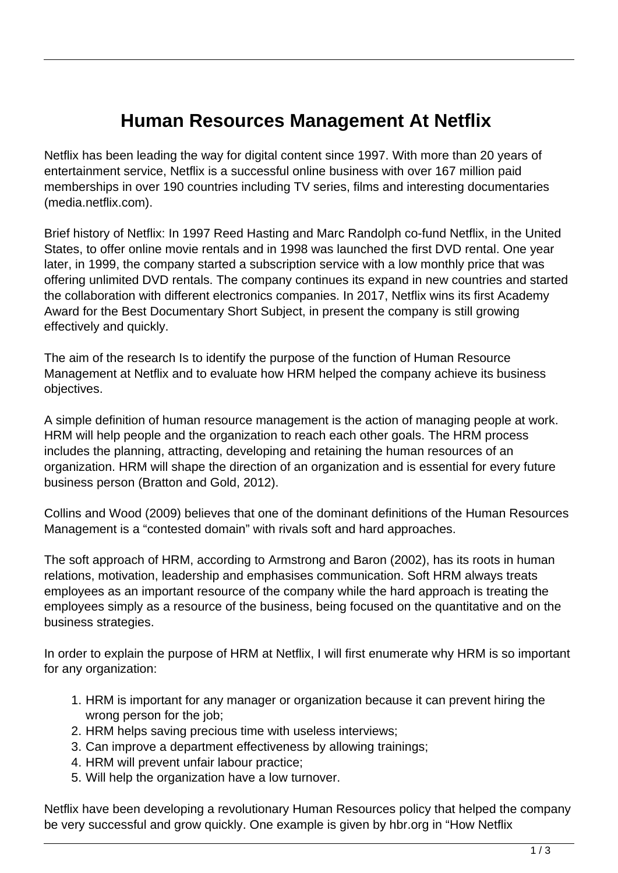## **Human Resources Management At Netflix**

Netflix has been leading the way for digital content since 1997. With more than 20 years of entertainment service, Netflix is a successful online business with over 167 million paid memberships in over 190 countries including TV series, films and interesting documentaries (media.netflix.com).

Brief history of Netflix: In 1997 Reed Hasting and Marc Randolph co-fund Netflix, in the United States, to offer online movie rentals and in 1998 was launched the first DVD rental. One year later, in 1999, the company started a subscription service with a low monthly price that was offering unlimited DVD rentals. The company continues its expand in new countries and started the collaboration with different electronics companies. In 2017, Netflix wins its first Academy Award for the Best Documentary Short Subject, in present the company is still growing effectively and quickly.

The aim of the research Is to identify the purpose of the function of Human Resource Management at Netflix and to evaluate how HRM helped the company achieve its business objectives.

A simple definition of human resource management is the action of managing people at work. HRM will help people and the organization to reach each other goals. The HRM process includes the planning, attracting, developing and retaining the human resources of an organization. HRM will shape the direction of an organization and is essential for every future business person (Bratton and Gold, 2012).

Collins and Wood (2009) believes that one of the dominant definitions of the Human Resources Management is a "contested domain" with rivals soft and hard approaches.

The soft approach of HRM, according to Armstrong and Baron (2002), has its roots in human relations, motivation, leadership and emphasises communication. Soft HRM always treats employees as an important resource of the company while the hard approach is treating the employees simply as a resource of the business, being focused on the quantitative and on the business strategies.

In order to explain the purpose of HRM at Netflix, I will first enumerate why HRM is so important for any organization:

- 1. HRM is important for any manager or organization because it can prevent hiring the wrong person for the job;
- 2. HRM helps saving precious time with useless interviews;
- 3. Can improve a department effectiveness by allowing trainings;
- 4. HRM will prevent unfair labour practice;
- 5. Will help the organization have a low turnover.

Netflix have been developing a revolutionary Human Resources policy that helped the company be very successful and grow quickly. One example is given by hbr.org in "How Netflix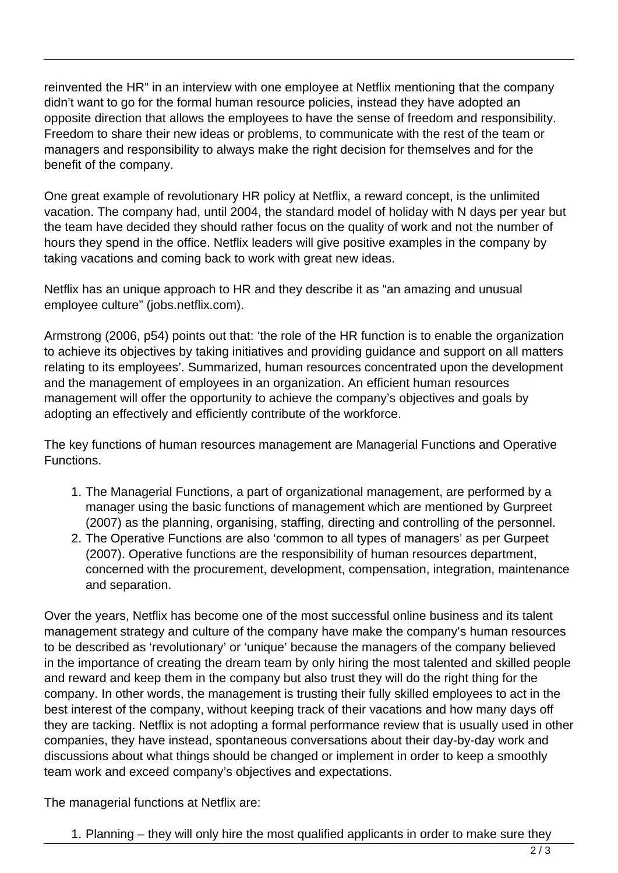reinvented the HR" in an interview with one employee at Netflix mentioning that the company didn't want to go for the formal human resource policies, instead they have adopted an opposite direction that allows the employees to have the sense of freedom and responsibility. Freedom to share their new ideas or problems, to communicate with the rest of the team or managers and responsibility to always make the right decision for themselves and for the benefit of the company.

One great example of revolutionary HR policy at Netflix, a reward concept, is the unlimited vacation. The company had, until 2004, the standard model of holiday with N days per year but the team have decided they should rather focus on the quality of work and not the number of hours they spend in the office. Netflix leaders will give positive examples in the company by taking vacations and coming back to work with great new ideas.

Netflix has an unique approach to HR and they describe it as "an amazing and unusual employee culture" (jobs.netflix.com).

Armstrong (2006, p54) points out that: 'the role of the HR function is to enable the organization to achieve its objectives by taking initiatives and providing guidance and support on all matters relating to its employees'. Summarized, human resources concentrated upon the development and the management of employees in an organization. An efficient human resources management will offer the opportunity to achieve the company's objectives and goals by adopting an effectively and efficiently contribute of the workforce.

The key functions of human resources management are Managerial Functions and Operative Functions.

- 1. The Managerial Functions, a part of organizational management, are performed by a manager using the basic functions of management which are mentioned by Gurpreet (2007) as the planning, organising, staffing, directing and controlling of the personnel.
- 2. The Operative Functions are also 'common to all types of managers' as per Gurpeet (2007). Operative functions are the responsibility of human resources department, concerned with the procurement, development, compensation, integration, maintenance and separation.

Over the years, Netflix has become one of the most successful online business and its talent management strategy and culture of the company have make the company's human resources to be described as 'revolutionary' or 'unique' because the managers of the company believed in the importance of creating the dream team by only hiring the most talented and skilled people and reward and keep them in the company but also trust they will do the right thing for the company. In other words, the management is trusting their fully skilled employees to act in the best interest of the company, without keeping track of their vacations and how many days off they are tacking. Netflix is not adopting a formal performance review that is usually used in other companies, they have instead, spontaneous conversations about their day-by-day work and discussions about what things should be changed or implement in order to keep a smoothly team work and exceed company's objectives and expectations.

The managerial functions at Netflix are:

1. Planning – they will only hire the most qualified applicants in order to make sure they